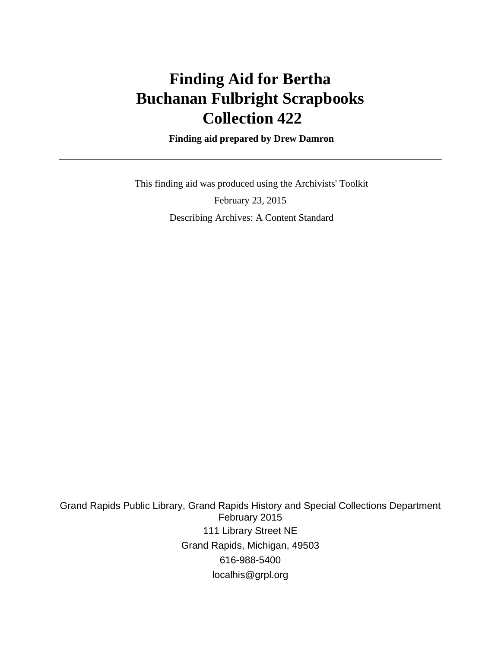# **Finding Aid for Bertha Buchanan Fulbright Scrapbooks Collection 422**

 **Finding aid prepared by Drew Damron**

 This finding aid was produced using the Archivists' Toolkit February 23, 2015 Describing Archives: A Content Standard

Grand Rapids Public Library, Grand Rapids History and Special Collections Department February 2015 111 Library Street NE Grand Rapids, Michigan, 49503 616-988-5400 localhis@grpl.org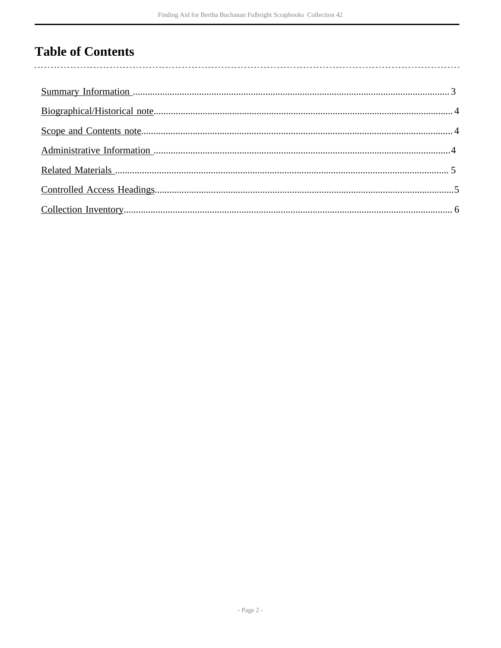## **Table of Contents**

 $\overline{\phantom{a}}$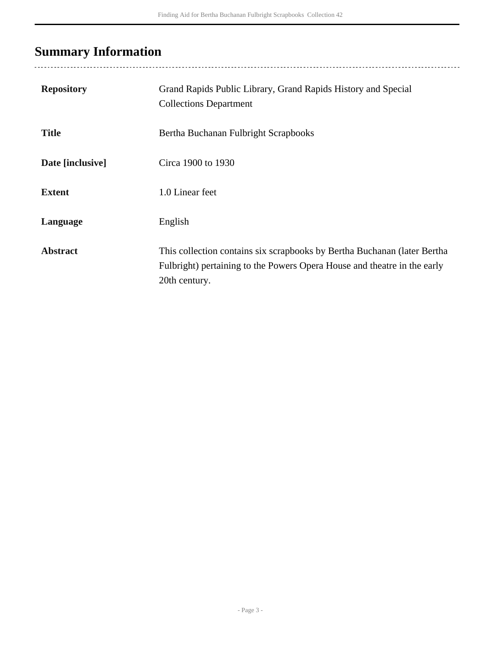## <span id="page-2-0"></span>**Summary Information**

| <b>Repository</b> | Grand Rapids Public Library, Grand Rapids History and Special<br><b>Collections Department</b>                                                                        |
|-------------------|-----------------------------------------------------------------------------------------------------------------------------------------------------------------------|
| <b>Title</b>      | Bertha Buchanan Fulbright Scrapbooks                                                                                                                                  |
| Date [inclusive]  | Circa 1900 to 1930                                                                                                                                                    |
| <b>Extent</b>     | 1.0 Linear feet                                                                                                                                                       |
| Language          | English                                                                                                                                                               |
| <b>Abstract</b>   | This collection contains six scrapbooks by Bertha Buchanan (later Bertha<br>Fulbright) pertaining to the Powers Opera House and theatre in the early<br>20th century. |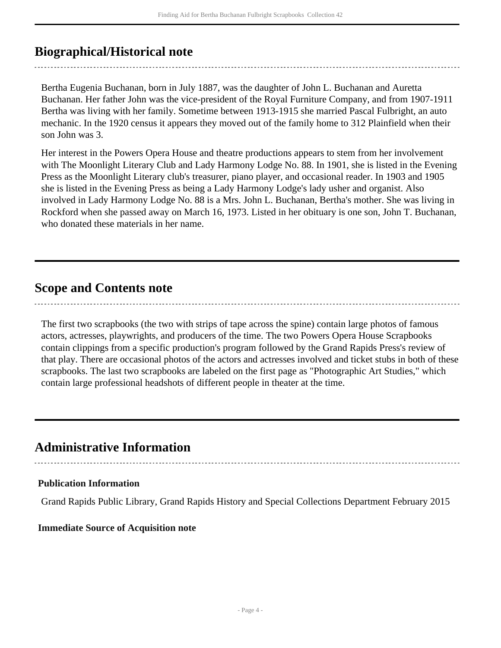### <span id="page-3-0"></span>**Biographical/Historical note**

Bertha Eugenia Buchanan, born in July 1887, was the daughter of John L. Buchanan and Auretta Buchanan. Her father John was the vice-president of the Royal Furniture Company, and from 1907-1911 Bertha was living with her family. Sometime between 1913-1915 she married Pascal Fulbright, an auto mechanic. In the 1920 census it appears they moved out of the family home to 312 Plainfield when their son John was 3.

Her interest in the Powers Opera House and theatre productions appears to stem from her involvement with The Moonlight Literary Club and Lady Harmony Lodge No. 88. In 1901, she is listed in the Evening Press as the Moonlight Literary club's treasurer, piano player, and occasional reader. In 1903 and 1905 she is listed in the Evening Press as being a Lady Harmony Lodge's lady usher and organist. Also involved in Lady Harmony Lodge No. 88 is a Mrs. John L. Buchanan, Bertha's mother. She was living in Rockford when she passed away on March 16, 1973. Listed in her obituary is one son, John T. Buchanan, who donated these materials in her name.

### <span id="page-3-1"></span>**Scope and Contents note**

The first two scrapbooks (the two with strips of tape across the spine) contain large photos of famous actors, actresses, playwrights, and producers of the time. The two Powers Opera House Scrapbooks contain clippings from a specific production's program followed by the Grand Rapids Press's review of that play. There are occasional photos of the actors and actresses involved and ticket stubs in both of these scrapbooks. The last two scrapbooks are labeled on the first page as "Photographic Art Studies," which contain large professional headshots of different people in theater at the time.

### <span id="page-3-2"></span>**Administrative Information**

#### **Publication Information**

Grand Rapids Public Library, Grand Rapids History and Special Collections Department February 2015

#### **Immediate Source of Acquisition note**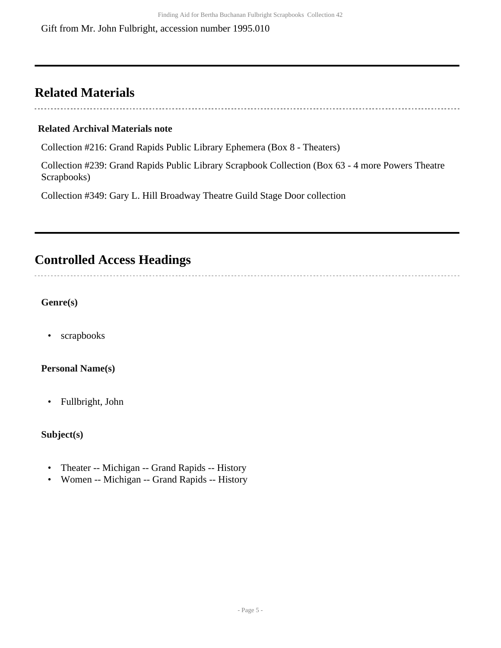### <span id="page-4-0"></span>**Related Materials**

#### **Related Archival Materials note**

Collection #216: Grand Rapids Public Library Ephemera (Box 8 - Theaters)

Collection #239: Grand Rapids Public Library Scrapbook Collection (Box 63 - 4 more Powers Theatre Scrapbooks)

Collection #349: Gary L. Hill Broadway Theatre Guild Stage Door collection

## <span id="page-4-1"></span>**Controlled Access Headings**

### **Genre(s)**

• scrapbooks

### **Personal Name(s)**

• Fullbright, John

### **Subject(s)**

- Theater -- Michigan -- Grand Rapids -- History
- Women -- Michigan -- Grand Rapids -- History